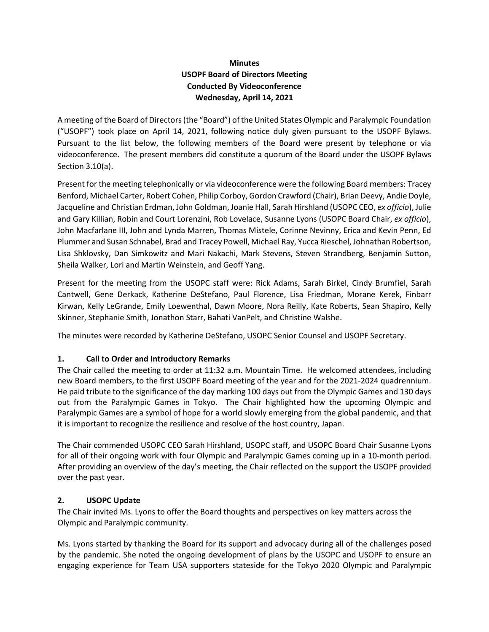# **Minutes USOPF Board of Directors Meeting Conducted By Videoconference Wednesday, April 14, 2021**

A meeting of the Board of Directors (the "Board") of the United States Olympic and Paralympic Foundation ("USOPF") took place on April 14, 2021, following notice duly given pursuant to the USOPF Bylaws. Pursuant to the list below, the following members of the Board were present by telephone or via videoconference. The present members did constitute a quorum of the Board under the USOPF Bylaws Section 3.10(a).

Present for the meeting telephonically or via videoconference were the following Board members: Tracey Benford, Michael Carter, Robert Cohen, Philip Corboy, Gordon Crawford (Chair), Brian Deevy, Andie Doyle, Jacqueline and Christian Erdman, John Goldman, Joanie Hall, Sarah Hirshland (USOPC CEO, *ex officio*), Julie and Gary Killian, Robin and Court Lorenzini, Rob Lovelace, Susanne Lyons (USOPC Board Chair, *ex officio*), John Macfarlane III, John and Lynda Marren, Thomas Mistele, Corinne Nevinny, Erica and Kevin Penn, Ed Plummer and Susan Schnabel, Brad and Tracey Powell, Michael Ray, Yucca Rieschel, Johnathan Robertson, Lisa Shklovsky, Dan Simkowitz and Mari Nakachi, Mark Stevens, Steven Strandberg, Benjamin Sutton, Sheila Walker, Lori and Martin Weinstein, and Geoff Yang.

Present for the meeting from the USOPC staff were: Rick Adams, Sarah Birkel, Cindy Brumfiel, Sarah Cantwell, Gene Derkack, Katherine DeStefano, Paul Florence, Lisa Friedman, Morane Kerek, Finbarr Kirwan, Kelly LeGrande, Emily Loewenthal, Dawn Moore, Nora Reilly, Kate Roberts, Sean Shapiro, Kelly Skinner, Stephanie Smith, Jonathon Starr, Bahati VanPelt, and Christine Walshe.

The minutes were recorded by Katherine DeStefano, USOPC Senior Counsel and USOPF Secretary.

## **1. Call to Order and Introductory Remarks**

The Chair called the meeting to order at 11:32 a.m. Mountain Time. He welcomed attendees, including new Board members, to the first USOPF Board meeting of the year and for the 2021-2024 quadrennium. He paid tribute to the significance of the day marking 100 days out from the Olympic Games and 130 days out from the Paralympic Games in Tokyo. The Chair highlighted how the upcoming Olympic and Paralympic Games are a symbol of hope for a world slowly emerging from the global pandemic, and that it is important to recognize the resilience and resolve of the host country, Japan.

The Chair commended USOPC CEO Sarah Hirshland, USOPC staff, and USOPC Board Chair Susanne Lyons for all of their ongoing work with four Olympic and Paralympic Games coming up in a 10-month period. After providing an overview of the day's meeting, the Chair reflected on the support the USOPF provided over the past year.

# **2. USOPC Update**

The Chair invited Ms. Lyons to offer the Board thoughts and perspectives on key matters across the Olympic and Paralympic community.

Ms. Lyons started by thanking the Board for its support and advocacy during all of the challenges posed by the pandemic. She noted the ongoing development of plans by the USOPC and USOPF to ensure an engaging experience for Team USA supporters stateside for the Tokyo 2020 Olympic and Paralympic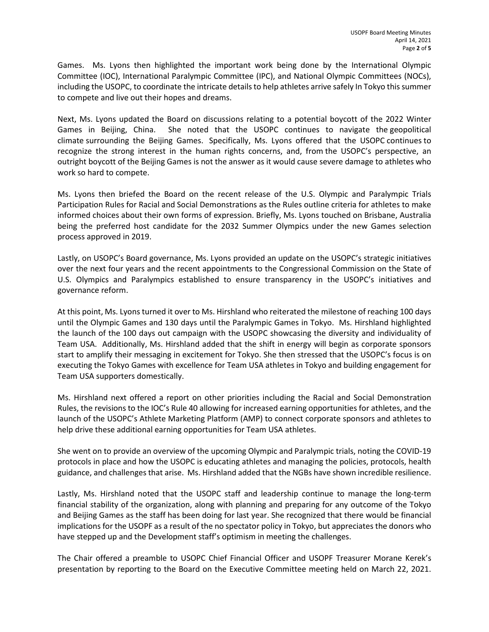Games. Ms. Lyons then highlighted the important work being done by the International Olympic Committee (IOC), International Paralympic Committee (IPC), and National Olympic Committees (NOCs), including the USOPC, to coordinate the intricate details to help athletes arrive safely In Tokyo this summer to compete and live out their hopes and dreams.

Next, Ms. Lyons updated the Board on discussions relating to a potential boycott of the 2022 Winter Games in Beijing, China. She noted that the USOPC continues to navigate the geopolitical climate surrounding the Beijing Games. Specifically, Ms. Lyons offered that the USOPC continues to recognize the strong interest in the human rights concerns, and, from the USOPC's perspective, an outright boycott of the Beijing Games is not the answer as it would cause severe damage to athletes who work so hard to compete.

Ms. Lyons then briefed the Board on the recent release of the U.S. Olympic and Paralympic Trials Participation Rules for Racial and Social Demonstrations as the Rules outline criteria for athletes to make informed choices about their own forms of expression. Briefly, Ms. Lyons touched on Brisbane, Australia being the preferred host candidate for the 2032 Summer Olympics under the new Games selection process approved in 2019.

Lastly, on USOPC's Board governance, Ms. Lyons provided an update on the USOPC's strategic initiatives over the next four years and the recent appointments to the Congressional Commission on the State of U.S. Olympics and Paralympics established to ensure transparency in the USOPC's initiatives and governance reform.

At this point, Ms. Lyons turned it over to Ms. Hirshland who reiterated the milestone of reaching 100 days until the Olympic Games and 130 days until the Paralympic Games in Tokyo. Ms. Hirshland highlighted the launch of the 100 days out campaign with the USOPC showcasing the diversity and individuality of Team USA. Additionally, Ms. Hirshland added that the shift in energy will begin as corporate sponsors start to amplify their messaging in excitement for Tokyo. She then stressed that the USOPC's focus is on executing the Tokyo Games with excellence for Team USA athletes in Tokyo and building engagement for Team USA supporters domestically.

Ms. Hirshland next offered a report on other priorities including the Racial and Social Demonstration Rules, the revisions to the IOC's Rule 40 allowing for increased earning opportunities for athletes, and the launch of the USOPC's Athlete Marketing Platform (AMP) to connect corporate sponsors and athletes to help drive these additional earning opportunities for Team USA athletes.

She went on to provide an overview of the upcoming Olympic and Paralympic trials, noting the COVID-19 protocols in place and how the USOPC is educating athletes and managing the policies, protocols, health guidance, and challenges that arise. Ms. Hirshland added that the NGBs have shown incredible resilience.

Lastly, Ms. Hirshland noted that the USOPC staff and leadership continue to manage the long-term financial stability of the organization, along with planning and preparing for any outcome of the Tokyo and Beijing Games as the staff has been doing for last year. She recognized that there would be financial implications for the USOPF as a result of the no spectator policy in Tokyo, but appreciates the donors who have stepped up and the Development staff's optimism in meeting the challenges.

The Chair offered a preamble to USOPC Chief Financial Officer and USOPF Treasurer Morane Kerek's presentation by reporting to the Board on the Executive Committee meeting held on March 22, 2021.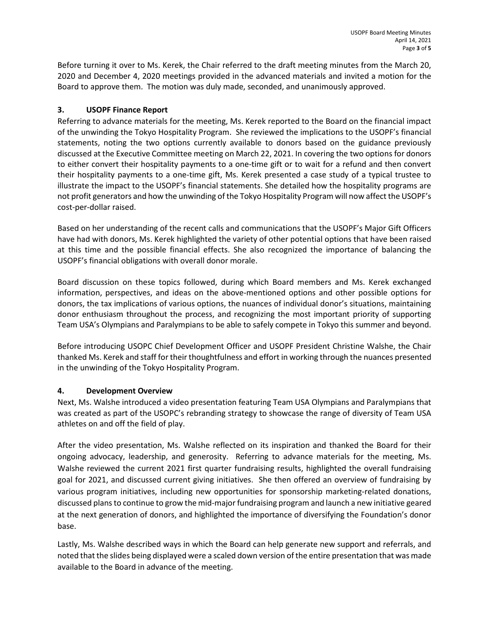Before turning it over to Ms. Kerek, the Chair referred to the draft meeting minutes from the March 20, 2020 and December 4, 2020 meetings provided in the advanced materials and invited a motion for the Board to approve them. The motion was duly made, seconded, and unanimously approved.

## **3. USOPF Finance Report**

Referring to advance materials for the meeting, Ms. Kerek reported to the Board on the financial impact of the unwinding the Tokyo Hospitality Program. She reviewed the implications to the USOPF's financial statements, noting the two options currently available to donors based on the guidance previously discussed at the Executive Committee meeting on March 22, 2021. In covering the two options for donors to either convert their hospitality payments to a one-time gift or to wait for a refund and then convert their hospitality payments to a one-time gift, Ms. Kerek presented a case study of a typical trustee to illustrate the impact to the USOPF's financial statements. She detailed how the hospitality programs are not profit generators and how the unwinding of the Tokyo Hospitality Program will now affect the USOPF's cost-per-dollar raised.

Based on her understanding of the recent calls and communications that the USOPF's Major Gift Officers have had with donors, Ms. Kerek highlighted the variety of other potential options that have been raised at this time and the possible financial effects. She also recognized the importance of balancing the USOPF's financial obligations with overall donor morale.

Board discussion on these topics followed, during which Board members and Ms. Kerek exchanged information, perspectives, and ideas on the above-mentioned options and other possible options for donors, the tax implications of various options, the nuances of individual donor's situations, maintaining donor enthusiasm throughout the process, and recognizing the most important priority of supporting Team USA's Olympians and Paralympians to be able to safely compete in Tokyo this summer and beyond.

Before introducing USOPC Chief Development Officer and USOPF President Christine Walshe, the Chair thanked Ms. Kerek and staff for their thoughtfulness and effort in working through the nuances presented in the unwinding of the Tokyo Hospitality Program.

#### **4. Development Overview**

Next, Ms. Walshe introduced a video presentation featuring Team USA Olympians and Paralympians that was created as part of the USOPC's rebranding strategy to showcase the range of diversity of Team USA athletes on and off the field of play.

After the video presentation, Ms. Walshe reflected on its inspiration and thanked the Board for their ongoing advocacy, leadership, and generosity. Referring to advance materials for the meeting, Ms. Walshe reviewed the current 2021 first quarter fundraising results, highlighted the overall fundraising goal for 2021, and discussed current giving initiatives. She then offered an overview of fundraising by various program initiatives, including new opportunities for sponsorship marketing-related donations, discussed plans to continue to grow the mid-major fundraising program and launch a new initiative geared at the next generation of donors, and highlighted the importance of diversifying the Foundation's donor base.

Lastly, Ms. Walshe described ways in which the Board can help generate new support and referrals, and noted that the slides being displayed were a scaled down version of the entire presentation that was made available to the Board in advance of the meeting.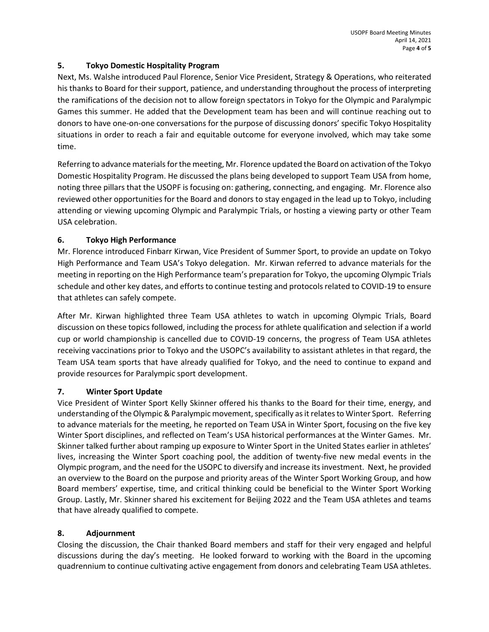## **5. Tokyo Domestic Hospitality Program**

Next, Ms. Walshe introduced Paul Florence, Senior Vice President, Strategy & Operations, who reiterated his thanks to Board for their support, patience, and understanding throughout the process of interpreting the ramifications of the decision not to allow foreign spectators in Tokyo for the Olympic and Paralympic Games this summer. He added that the Development team has been and will continue reaching out to donors to have one-on-one conversations for the purpose of discussing donors' specific Tokyo Hospitality situations in order to reach a fair and equitable outcome for everyone involved, which may take some time.

Referring to advance materials for the meeting, Mr. Florence updated the Board on activation of the Tokyo Domestic Hospitality Program. He discussed the plans being developed to support Team USA from home, noting three pillars that the USOPF is focusing on: gathering, connecting, and engaging. Mr. Florence also reviewed other opportunities for the Board and donors to stay engaged in the lead up to Tokyo, including attending or viewing upcoming Olympic and Paralympic Trials, or hosting a viewing party or other Team USA celebration.

### **6. Tokyo High Performance**

Mr. Florence introduced Finbarr Kirwan, Vice President of Summer Sport, to provide an update on Tokyo High Performance and Team USA's Tokyo delegation. Mr. Kirwan referred to advance materials for the meeting in reporting on the High Performance team's preparation for Tokyo, the upcoming Olympic Trials schedule and other key dates, and efforts to continue testing and protocols related to COVID-19 to ensure that athletes can safely compete.

After Mr. Kirwan highlighted three Team USA athletes to watch in upcoming Olympic Trials, Board discussion on these topics followed, including the process for athlete qualification and selection if a world cup or world championship is cancelled due to COVID-19 concerns, the progress of Team USA athletes receiving vaccinations prior to Tokyo and the USOPC's availability to assistant athletes in that regard, the Team USA team sports that have already qualified for Tokyo, and the need to continue to expand and provide resources for Paralympic sport development.

#### **7. Winter Sport Update**

Vice President of Winter Sport Kelly Skinner offered his thanks to the Board for their time, energy, and understanding of the Olympic & Paralympic movement, specifically as it relates to Winter Sport. Referring to advance materials for the meeting, he reported on Team USA in Winter Sport, focusing on the five key Winter Sport disciplines, and reflected on Team's USA historical performances at the Winter Games. Mr. Skinner talked further about ramping up exposure to Winter Sport in the United States earlier in athletes' lives, increasing the Winter Sport coaching pool, the addition of twenty-five new medal events in the Olympic program, and the need for the USOPC to diversify and increase its investment. Next, he provided an overview to the Board on the purpose and priority areas of the Winter Sport Working Group, and how Board members' expertise, time, and critical thinking could be beneficial to the Winter Sport Working Group. Lastly, Mr. Skinner shared his excitement for Beijing 2022 and the Team USA athletes and teams that have already qualified to compete.

#### **8. Adjournment**

Closing the discussion, the Chair thanked Board members and staff for their very engaged and helpful discussions during the day's meeting. He looked forward to working with the Board in the upcoming quadrennium to continue cultivating active engagement from donors and celebrating Team USA athletes.